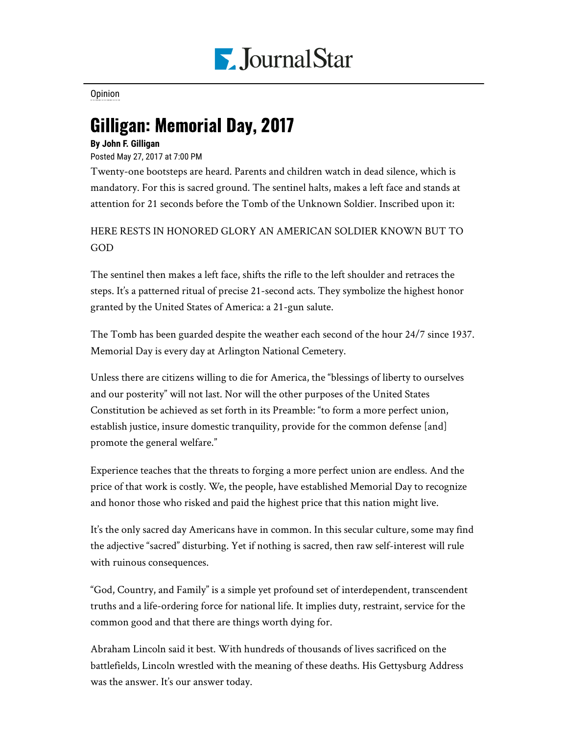

[Opinion](https://www.pjstar.com/search?text=Opinion)

## Gilligan: Memorial Day, 2017

## **By John F. Gilligan**

Posted May 27, 2017 at 7:00 PM

Twenty-one bootsteps are heard. Parents and children watch in dead silence, which is mandatory. For this is sacred ground. The sentinel halts, makes a left face and stands at attention for 21 seconds before the Tomb of the Unknown Soldier. Inscribed upon it:

HERE RESTS IN HONORED GLORY AN AMERICAN SOLDIER KNOWN BUT TO GOD

The sentinel then makes a left face, shifts the rifle to the left shoulder and retraces the steps. It's a patterned ritual of precise 21-second acts. They symbolize the highest honor granted by the United States of America: a 21-gun salute.

The Tomb has been guarded despite the weather each second of the hour 24/7 since 1937. Memorial Day is every day at Arlington National Cemetery.

Unless there are citizens willing to die for America, the "blessings of liberty to ourselves and our posterity" will not last. Nor will the other purposes of the United States Constitution be achieved as set forth in its Preamble: "to form a more perfect union, establish justice, insure domestic tranquility, provide for the common defense [and] promote the general welfare."

Experience teaches that the threats to forging a more perfect union are endless. And the price of that work is costly. We, the people, have established Memorial Day to recognize and honor those who risked and paid the highest price that this nation might live.

It's the only sacred day Americans have in common. In this secular culture, some may find the adjective "sacred" disturbing. Yet if nothing is sacred, then raw self-interest will rule with ruinous consequences.

"God, Country, and Family" is a simple yet profound set of interdependent, transcendent truths and a life-ordering force for national life. It implies duty, restraint, service for the common good and that there are things worth dying for.

Abraham Lincoln said it best. With hundreds of thousands of lives sacrificed on the battlefields, Lincoln wrestled with the meaning of these deaths. His Gettysburg Address was the answer. It's our answer today.